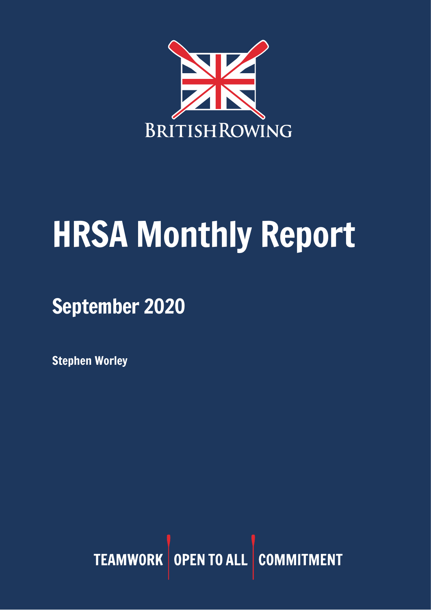

# HRSA Monthly Report

September 2020

Stephen Worley

TEAMWORK OPEN TO ALL COMMITMENT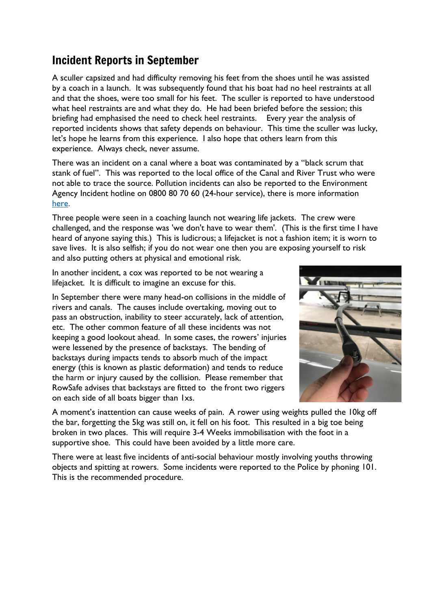# Incident Reports in September

A sculler capsized and had difficulty removing his feet from the shoes until he was assisted by a coach in a launch. It was subsequently found that his boat had no heel restraints at all and that the shoes, were too small for his feet. The sculler is reported to have understood what heel restraints are and what they do. He had been briefed before the session; this briefing had emphasised the need to check heel restraints. Every year the analysis of reported incidents shows that safety depends on behaviour. This time the sculler was lucky, let's hope he learns from this experience. I also hope that others learn from this experience. Always check, never assume.

There was an incident on a canal where a boat was contaminated by a "black scrum that stank of fuel". This was reported to the local office of the Canal and River Trust who were not able to trace the source. Pollution incidents can also be reported to the Environment Agency Incident hotline on 0800 80 70 60 (24-hour service), there is more information [here.](https://www.gov.uk/report-an-environmental-incident)

Three people were seen in a coaching launch not wearing life jackets. The crew were challenged, and the response was 'we don't have to wear them'. (This is the first time I have heard of anyone saying this.) This is ludicrous; a lifejacket is not a fashion item; it is worn to save lives. It is also selfish; if you do not wear one then you are exposing yourself to risk and also putting others at physical and emotional risk.

In another incident, a cox was reported to be not wearing a lifejacket. It is difficult to imagine an excuse for this.

In September there were many head-on collisions in the middle of rivers and canals. The causes include overtaking, moving out to pass an obstruction, inability to steer accurately, lack of attention, etc. The other common feature of all these incidents was not keeping a good lookout ahead. In some cases, the rowers' injuries were lessened by the presence of backstays. The bending of backstays during impacts tends to absorb much of the impact energy (this is known as plastic deformation) and tends to reduce the harm or injury caused by the collision. Please remember that RowSafe advises that backstays are fitted to the front two riggers on each side of all boats bigger than 1xs.



A moment's inattention can cause weeks of pain. A rower using weights pulled the 10kg off the bar, forgetting the 5kg was still on, it fell on his foot. This resulted in a big toe being broken in two places. This will require 3-4 Weeks immobilisation with the foot in a supportive shoe. This could have been avoided by a little more care.

There were at least five incidents of anti-social behaviour mostly involving youths throwing objects and spitting at rowers. Some incidents were reported to the Police by phoning 101. This is the recommended procedure.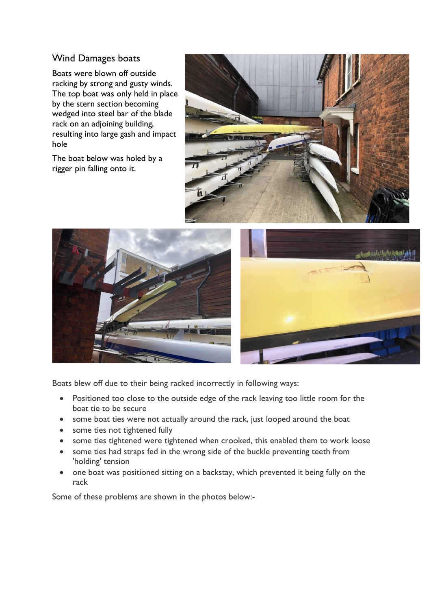## Wind Damages boats

Boats were blown off outside racking by strong and gusty winds. The top boat was only held in place by the stern section becoming wedged into steel bar of the blade rack on an adjoining building, resulting into large gash and impact hole

The boat below was holed by a rigger pin falling onto it.





Boats blew off due to their being racked incorrectly in following ways:

- Positioned too close to the outside edge of the rack leaving too little room for the boat tie to be secure
- some boat ties were not actually around the rack, just looped around the boat
- some ties not tightened fully
- some ties tightened were tightened when crooked, this enabled them to work loose
- some ties had straps fed in the wrong side of the buckle preventing teeth from 'holding' tension
- one boat was positioned sitting on a backstay, which prevented it being fully on the rack

Some of these problems are shown in the photos below:-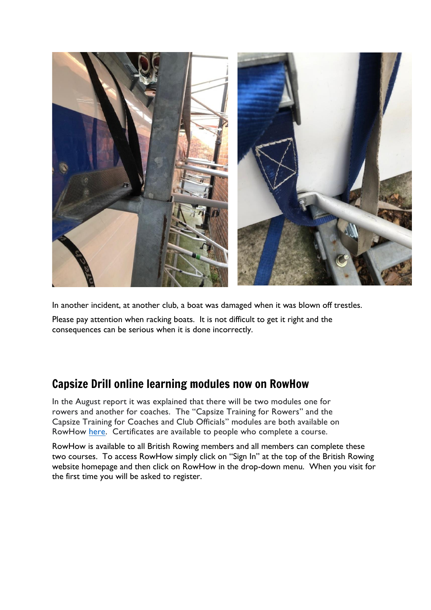

In another incident, at another club, a boat was damaged when it was blown off trestles.

Please pay attention when racking boats. It is not difficult to get it right and the consequences can be serious when it is done incorrectly.

## Capsize Drill online learning modules now on RowHow

In the August report it was explained that there will be two modules one for rowers and another for coaches. The "Capsize Training for Rowers" and the Capsize Training for Coaches and Club Officials" modules are both available on RowHow [here.](https://www.rowhow.org/course/view.php?id=195) Certificates are available to people who complete a course.

RowHow is available to all British Rowing members and all members can complete these two courses. To access RowHow simply click on "Sign In" at the top of the British Rowing website homepage and then click on RowHow in the drop-down menu. When you visit for the first time you will be asked to register.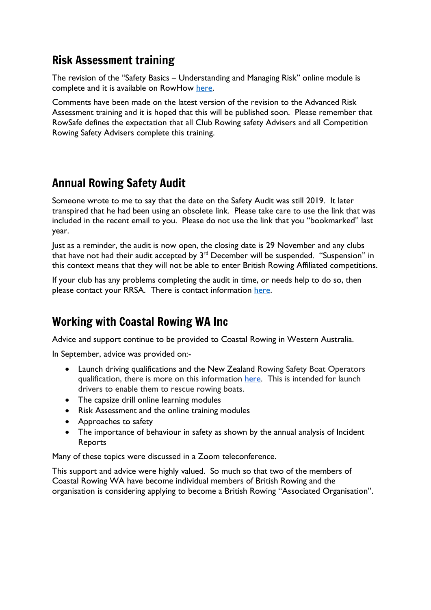## Risk Assessment training

The revision of the "Safety Basics – Understanding and Managing Risk" online module is complete and it is available on RowHow [here.](https://www.rowhow.org/course/view.php?id=194)

Comments have been made on the latest version of the revision to the Advanced Risk Assessment training and it is hoped that this will be published soon. Please remember that RowSafe defines the expectation that all Club Rowing safety Advisers and all Competition Rowing Safety Advisers complete this training.

# Annual Rowing Safety Audit

Someone wrote to me to say that the date on the Safety Audit was still 2019. It later transpired that he had been using an obsolete link. Please take care to use the link that was included in the recent email to you. Please do not use the link that you "bookmarked" last year.

Just as a reminder, the audit is now open, the closing date is 29 November and any clubs that have not had their audit accepted by  $3<sup>rd</sup>$  December will be suspended. "Suspension" in this context means that they will not be able to enter British Rowing Affiliated competitions.

If your club has any problems completing the audit in time, or needs help to do so, then please contact your RRSA. There is contact information [here.](https://www.britishrowing.org/knowledge/safety/rowing-safety-contacts/)

# Working with Coastal Rowing WA Inc

Advice and support continue to be provided to Coastal Rowing in Western Australia.

In September, advice was provided on:-

- Launch driving qualifications and the New Zealand Rowing Safety Boat Operators qualification, there is more on this information [here.](https://www.boatingeducation.org.nz/courses/39/club-safety-boat-operator-rowing-club-version/) This is intended for launch drivers to enable them to rescue rowing boats.
- The capsize drill online learning modules
- Risk Assessment and the online training modules
- Approaches to safety
- The importance of behaviour in safety as shown by the annual analysis of Incident Reports

Many of these topics were discussed in a Zoom teleconference.

This support and advice were highly valued. So much so that two of the members of Coastal Rowing WA have become individual members of British Rowing and the organisation is considering applying to become a British Rowing "Associated Organisation".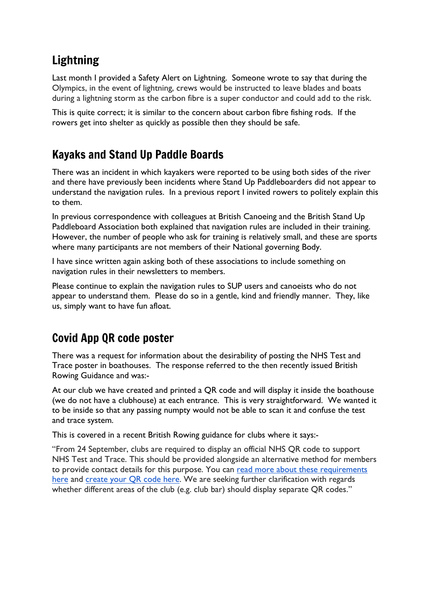# Lightning

Last month I provided a Safety Alert on Lightning. Someone wrote to say that during the Olympics, in the event of lightning, crews would be instructed to leave blades and boats during a lightning storm as the carbon fibre is a super conductor and could add to the risk.

This is quite correct; it is similar to the concern about carbon fibre fishing rods. If the rowers get into shelter as quickly as possible then they should be safe.

# Kayaks and Stand Up Paddle Boards

There was an incident in which kayakers were reported to be using both sides of the river and there have previously been incidents where Stand Up Paddleboarders did not appear to understand the navigation rules. In a previous report I invited rowers to politely explain this to them.

In previous correspondence with colleagues at British Canoeing and the British Stand Up Paddleboard Association both explained that navigation rules are included in their training. However, the number of people who ask for training is relatively small, and these are sports where many participants are not members of their National governing Body.

I have since written again asking both of these associations to include something on navigation rules in their newsletters to members.

Please continue to explain the navigation rules to SUP users and canoeists who do not appear to understand them. Please do so in a gentle, kind and friendly manner. They, like us, simply want to have fun afloat.

# Covid App QR code poster

There was a request for information about the desirability of posting the NHS Test and Trace poster in boathouses. The response referred to the then recently issued British Rowing Guidance and was:-

At our club we have created and printed a QR code and will display it inside the boathouse (we do not have a clubhouse) at each entrance. This is very straightforward. We wanted it to be inside so that any passing numpty would not be able to scan it and confuse the test and trace system.

This is covered in a recent British Rowing guidance for clubs where it says:-

"From 24 September, clubs are required to display an official NHS QR code to support NHS Test and Trace. This should be provided alongside an alternative method for members to provide contact details for this purpose. You can read more about these [requirements](https://www.gov.uk/guidance/maintaining-records-of-staff-customers-and-visitors-to-support-nhs-test-and-trace) [here](https://www.gov.uk/guidance/maintaining-records-of-staff-customers-and-visitors-to-support-nhs-test-and-trace) and [create](https://www.gov.uk/create-coronavirus-qr-poster) your QR code here. We are seeking further clarification with regards whether different areas of the club (e.g. club bar) should display separate QR codes."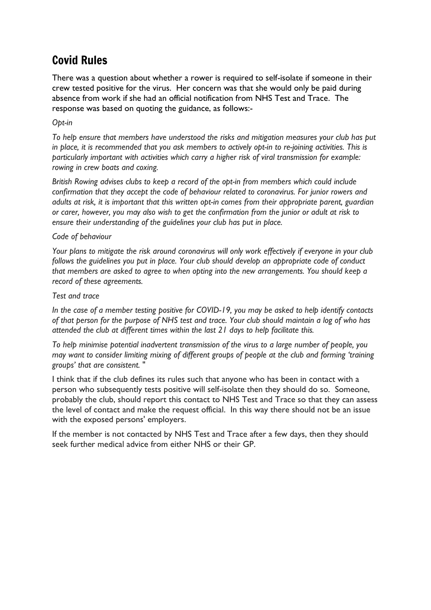# Covid Rules

There was a question about whether a rower is required to self-isolate if someone in their crew tested positive for the virus. Her concern was that she would only be paid during absence from work if she had an official notification from NHS Test and Trace. The response was based on quoting the guidance, as follows:-

### *Opt-in*

*To help ensure that members have understood the risks and mitigation measures your club has put in place, it is recommended that you ask members to actively opt-in to re-joining activities. This is particularly important with activities which carry a higher risk of viral transmission for example: rowing in crew boats and coxing.*

*British Rowing advises clubs to keep a record of the opt-in from members which could include confirmation that they accept the code of behaviour related to coronavirus. For junior rowers and adults at risk, it is important that this written opt-in comes from their appropriate parent, guardian* or carer, however, you may also wish to get the confirmation from the junior or adult at risk to *ensure their understanding of the guidelines your club has put in place.*

#### *Code of behaviour*

*Your plans to mitigate the risk around coronavirus will only work effectively if everyone in your club follows the guidelines you put in place. Your club should develop an appropriate code of conduct that members are asked to agree to when opting into the new arrangements. You should keep a record of these agreements.*

#### *Test and trace*

*In the case of a member testing positive for COVID-19, you may be asked to help identify contacts* of that person for the purpose of NHS test and trace. Your club should maintain a log of who has *attended the club at different times within the last 21 days to help facilitate this.*

*To help minimise potential inadvertent transmission of the virus to a large number of people, you may want to consider limiting mixing of different groups of people at the club and forming 'training groups' that are consistent.* "

I think that if the club defines its rules such that anyone who has been in contact with a person who subsequently tests positive will self-isolate then they should do so. Someone, probably the club, should report this contact to NHS Test and Trace so that they can assess the level of contact and make the request official. In this way there should not be an issue with the exposed persons' employers.

If the member is not contacted by NHS Test and Trace after a few days, then they should seek further medical advice from either NHS or their GP.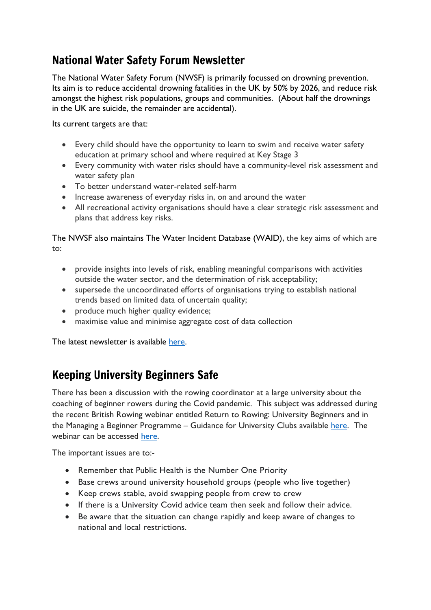# National Water Safety Forum Newsletter

The National Water Safety Forum (NWSF) is primarily focussed on drowning prevention. Its aim is to reduce accidental drowning fatalities in the UK by 50% by 2026, and reduce risk amongst the highest risk populations, groups and communities. (About half the drownings in the UK are suicide, the remainder are accidental).

Its current targets are that:

- Every child should have the opportunity to learn to swim and receive water safety education at primary school and where required at Key Stage 3
- Every community with water risks should have a community-level risk assessment and water safety plan
- To better understand water-related self-harm
- Increase awareness of everyday risks in, on and around the water
- All recreational activity organisations should have a clear strategic risk assessment and plans that address key risks.

The NWSF also maintains The Water Incident Database (WAID), the key aims of which are to:

- provide insights into levels of risk, enabling meaningful comparisons with activities outside the water sector, and the determination of risk acceptability;
- supersede the uncoordinated efforts of organisations trying to establish national trends based on limited data of uncertain quality;
- produce much higher quality evidence;
- maximise value and minimise aggregate cost of data collection

The latest newsletter is available [here.](https://mail.google.com/mail/u/0/#search/drowning/WhctKJVzhRVtvxNPQPvmsvdKBqpsWmTDHGzSlbFLhsVVzZMTqdfTdZGDrqlVMdVCFGThbwg?compose=tkJLHcQTgtpjTVtQWQTjjWnxdJwWZhTJphHXFJDcFNGLgSlcpKKJLJnBGnBcJVgCVdqGPTFLcKcbDwtkcHHlLxZFhrlkknQzDMJVXWGRzQKq)

## Keeping University Beginners Safe

There has been a discussion with the rowing coordinator at a large university about the coaching of beginner rowers during the Covid pandemic. This subject was addressed during the recent British Rowing webinar entitled Return to Rowing: University Beginners and in the Managing a Beginner Programme – Guidance for University Clubs available [here.](https://www.britishrowing.org/wp-content/uploads/2020/09/Managing-a-Beginner-Programme.pdf) The webinar can be accessed [here.](https://www.britishrowing.org/2020/10/british-rowing-webinar-return-to-rowing-university-beginners/)

The important issues are to:-

- Remember that Public Health is the Number One Priority
- Base crews around university household groups (people who live together)
- Keep crews stable, avoid swapping people from crew to crew
- If there is a University Covid advice team then seek and follow their advice.
- Be aware that the situation can change rapidly and keep aware of changes to national and local restrictions.